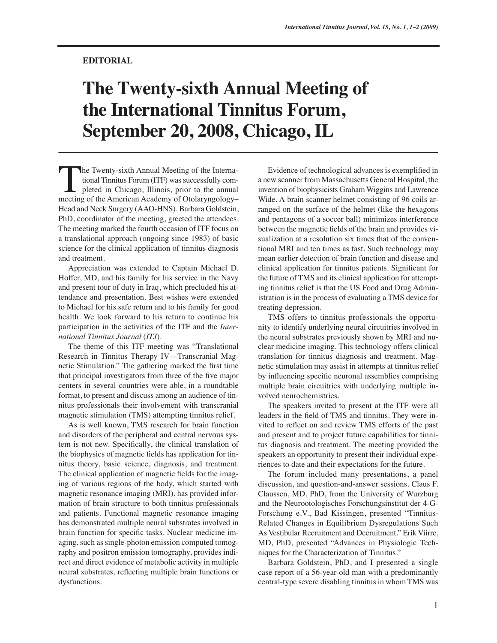## **EDITORIAL**

## **The Twenty-sixth Annual Meeting of the International Tinnitus Forum, September 20, 2008, Chicago, IL**

he Twenty-sixth Annual Meeting of the International Tinnitus Forum (ITF) was successfully completed in Chicago, Illinois, prior to the annual The Twenty-sixth Annual Meeting of the International Tinnitus Forum (ITF) was successfully completed in Chicago, Illinois, prior to the annual meeting of the American Academy of Otolaryngology– Head and Neck Surgery (AAO-HNS). Barbara Goldstein, PhD, coordinator of the meeting, greeted the attendees. The meeting marked the fourth occasion of ITF focus on a translational approach (ongoing since 1983) of basic science for the clinical application of tinnitus diagnosis and treatment.

Appreciation was extended to Captain Michael D. Hoffer, MD, and his family for his service in the Navy and present tour of duty in Iraq, which precluded his attendance and presentation. Best wishes were extended to Michael for his safe return and to his family for good health. We look forward to his return to continue his participation in the activities of the ITF and the *International Tinnitus Journal* (*ITJ*).

The theme of this ITF meeting was "Translational Research in Tinnitus Therapy IV—Transcranial Magnetic Stimulation." The gathering marked the first time that principal investigators from three of the five major centers in several countries were able, in a roundtable format, to present and discuss among an audience of tinnitus professionals their involvement with transcranial magnetic stimulation (TMS) attempting tinnitus relief.

As is well known, TMS research for brain function and disorders of the peripheral and central nervous system is not new. Specifically, the clinical translation of the biophysics of magnetic fields has application for tinnitus theory, basic science, diagnosis, and treatment. The clinical application of magnetic fields for the imaging of various regions of the body, which started with magnetic resonance imaging (MRI), has provided information of brain structure to both tinnitus professionals and patients. Functional magnetic resonance imaging has demonstrated multiple neural substrates involved in brain function for specific tasks. Nuclear medicine imaging, such as single-photon emission computed tomography and positron emission tomography, provides indirect and direct evidence of metabolic activity in multiple neural substrates, reflecting multiple brain functions or dysfunctions.

Evidence of technological advances is exemplified in a new scanner from Massachusetts General Hospital, the invention of biophysicists Graham Wiggins and Lawrence Wide. A brain scanner helmet consisting of 96 coils arranged on the surface of the helmet (like the hexagons and pentagons of a soccer ball) minimizes interference between the magnetic fields of the brain and provides visualization at a resolution six times that of the conventional MRI and ten times as fast. Such technology may mean earlier detection of brain function and disease and clinical application for tinnitus patients. Significant for the future of TMS and its clinical application for attempting tinnitus relief is that the US Food and Drug Administration is in the process of evaluating a TMS device for treating depression.

TMS offers to tinnitus professionals the opportunity to identify underlying neural circuitries involved in the neural substrates previously shown by MRI and nuclear medicine imaging. This technology offers clinical translation for tinnitus diagnosis and treatment. Magnetic stimulation may assist in attempts at tinnitus relief by influencing specific neuronal assemblies comprising multiple brain circuitries with underlying multiple involved neurochemistries.

The speakers invited to present at the ITF were all leaders in the field of TMS and tinnitus. They were invited to reflect on and review TMS efforts of the past and present and to project future capabilities for tinnitus diagnosis and treatment. The meeting provided the speakers an opportunity to present their individual experiences to date and their expectations for the future.

The forum included many presentations, a panel discussion, and question-and-answer sessions. Claus F. Claussen, MD, PhD, from the University of Wurzburg and the Neurootologisches Forschungsinstitut der 4-G-Forschung e.V., Bad Kissingen, presented "Tinnitus-Related Changes in Equilibrium Dysregulations Such As Vestibular Recruitment and Decruitment." Erik Viirre, MD, PhD, presented "Advances in Physiologic Techniques for the Characterization of Tinnitus."

Barbara Goldstein, PhD, and I presented a single case report of a 56-year-old man with a predominantly central-type severe disabling tinnitus in whom TMS was